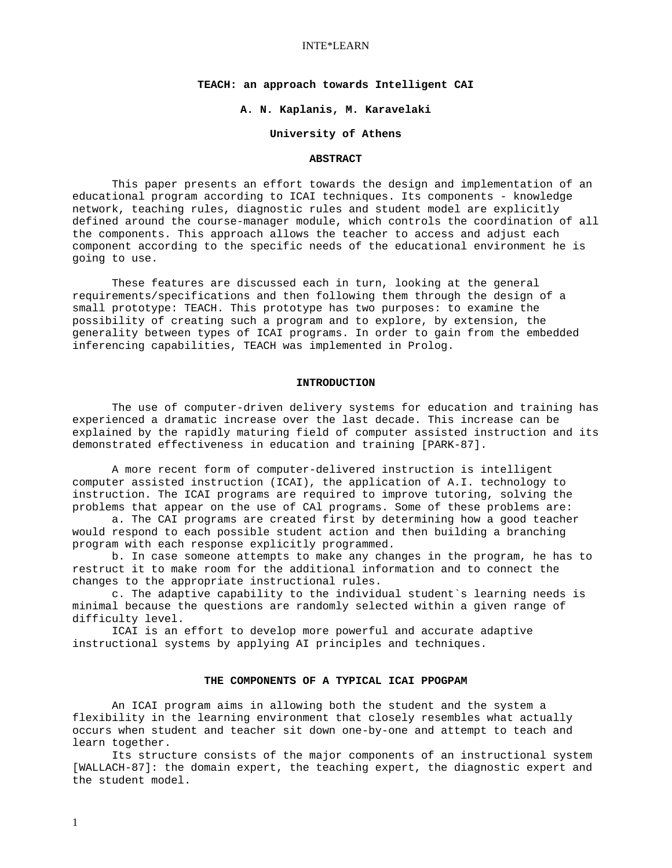#### INTE\*LEARN

# **TEACH: an approach towards Intelligent CAI**

## **A. N. Kaplanis, M. Karavelaki**

## **University of Athens**

#### **ABSTRACT**

This paper presents an effort towards the design and implementation of an educational program according to ICAI techniques. Its components - knowledge network, teaching rules, diagnostic rules and student model are explicitly defined around the course-manager module, which controls the coordination of all the components. This approach allows the teacher to access and adjust each component according to the specific needs of the educational environment he is going to use.

 These features are discussed each in turn, looking at the general requirements/specifications and then following them through the design of a small prototype: TEACH. This prototype has two purposes: to examine the possibility of creating such a program and to explore, by extension, the generality between types of ICAI programs. In order to gain from the embedded inferencing capabilities, TEACH was implemented in Prolog.

#### **INTRODUCTION**

 The use of computer-driven delivery systems for education and training has experienced a dramatic increase over the last decade. This increase can be explained by the rapidly maturing field of computer assisted instruction and its demonstrated effectiveness in education and training [PARK-87].

 A more recent form of computer-delivered instruction is intelligent computer assisted instruction (ICAI), the application of A.I. technology to instruction. The ICAI programs are required to improve tutoring, solving the problems that appear on the use of CAl programs. Some of these problems are:

 a. The CAI programs are created first by determining how a good teacher would respond to each possible student action and then building a branching program with each response explicitly programmed.

 b. In case someone attempts to make any changes in the program, he has to restruct it to make room for the additional information and to connect the changes to the appropriate instructional rules.

 c. The adaptive capability to the individual student`s learning needs is minimal because the questions are randomly selected within a given range of difficulty level.

 ICAI is an effort to develop more powerful and accurate adaptive instructional systems by applying AI principles and techniques.

# **THE COMPONENTS OF A TYPICAL ICAI PPOGPAM**

 An ICAI program aims in allowing both the student and the system a flexibility in the learning environment that closely resembles what actually occurs when student and teacher sit down one-by-one and attempt to teach and learn together.

 Its structure consists of the major components of an instructional system [WALLACH-87]: the domain expert, the teaching expert, the diagnostic expert and the student model.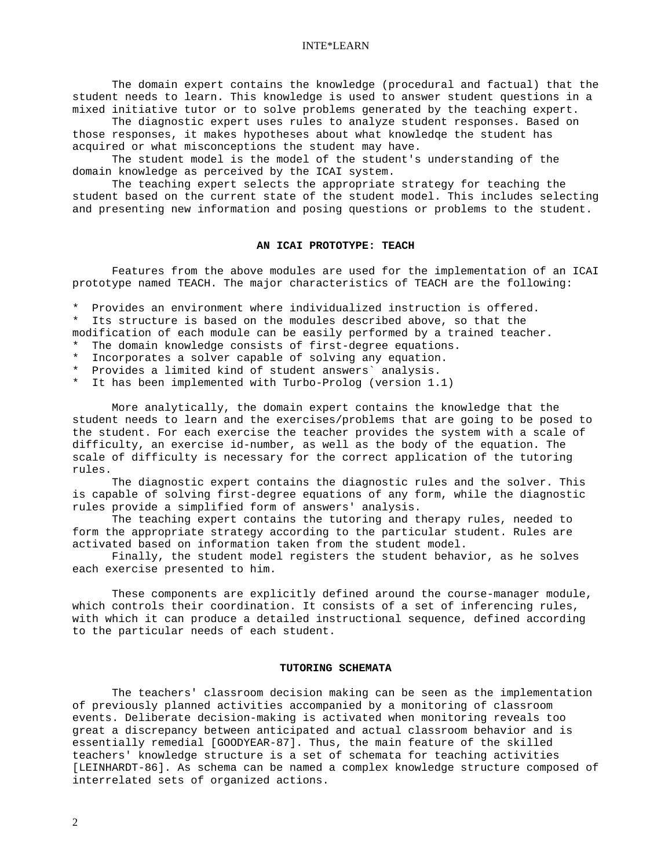The domain expert contains the knowledge (procedural and factual) that the student needs to learn. This knowledge is used to answer student questions in a mixed initiative tutor or to solve problems generated by the teaching expert.

 The diagnostic expert uses rules to analyze student responses. Based on those responses, it makes hypotheses about what knowledqe the student has acquired or what misconceptions the student may have.

 The student model is the model of the student's understanding of the domain knowledge as perceived by the ICAI system.

 The teaching expert selects the appropriate strategy for teaching the student based on the current state of the student model. This includes selecting and presenting new information and posing questions or problems to the student.

## **AN ICAI PROTOTYPE: TEACH**

 Features from the above modules are used for the implementation of an ICAI prototype named TEACH. The major characteristics of TEACH are the following:

\* Provides an environment where individualized instruction is offered.

\* Its structure is based on the modules described above, so that the

modification of each module can be easily performed by a trained teacher.

- \* The domain knowledge consists of first-degree equations.
- \* Incorporates a solver capable of solving any equation.
- \* Provides a limited kind of student answers` analysis.

\* It has been implemented with Turbo-Prolog (version 1.1)

 More analytically, the domain expert contains the knowledge that the student needs to learn and the exercises/problems that are going to be posed to the student. For each exercise the teacher provides the system with a scale of difficulty, an exercise id-number, as well as the body of the equation. The scale of difficulty is necessary for the correct application of the tutoring rules.

 The diagnostic expert contains the diagnostic rules and the solver. This is capable of solving first-degree equations of any form, while the diagnostic rules provide a simplified form of answers' analysis.

 The teaching expert contains the tutoring and therapy rules, needed to form the appropriate strategy according to the particular student. Rules are activated based on information taken from the student model.

 Finally, the student model registers the student behavior, as he solves each exercise presented to him.

 These components are explicitly defined around the course-manager module, which controls their coordination. It consists of a set of inferencing rules, with which it can produce a detailed instructional sequence, defined according to the particular needs of each student.

## **TUTORING SCHEMATA**

 The teachers' classroom decision making can be seen as the implementation of previously planned activities accompanied by a monitoring of classroom events. Deliberate decision-making is activated when monitoring reveals too great a discrepancy between anticipated and actual classroom behavior and is essentially remedial [GOODYEAR-87]. Thus, the main feature of the skilled teachers' knowledge structure is a set of schemata for teaching activities [LEINHARDT-86]. As schema can be named a complex knowledge structure composed of interrelated sets of organized actions.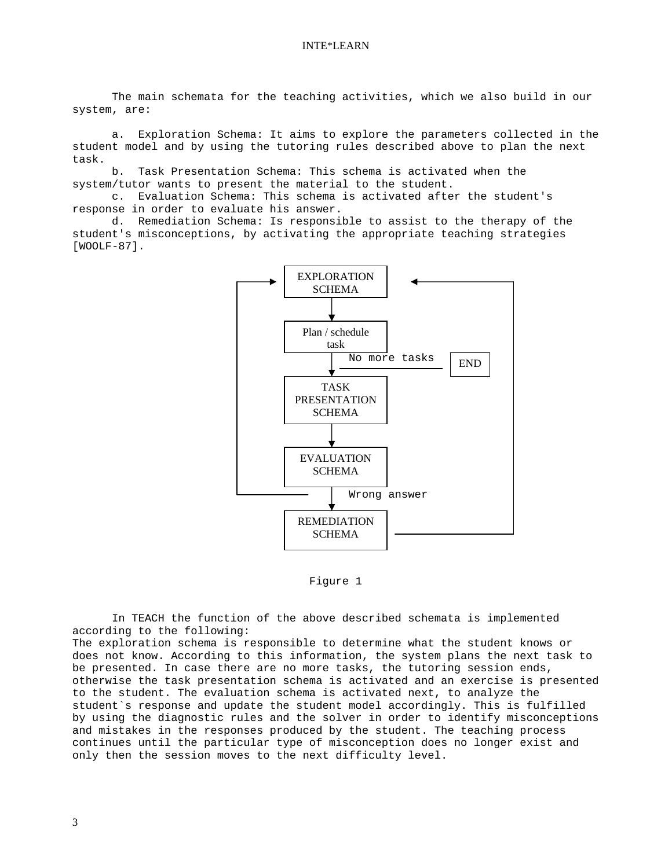The main schemata for the teaching activities, which we also build in our system, are:

 a. Exploration Schema: It aims to explore the parameters collected in the student model and by using the tutoring rules described above to plan the next task.

 b. Task Presentation Schema: This schema is activated when the system/tutor wants to present the material to the student.

 c. Evaluation Schema: This schema is activated after the student's response in order to evaluate his answer.

 d. Remediation Schema: Is responsible to assist to the therapy of the student's misconceptions, by activating the appropriate teaching strategies [WOOLF-87].



Figure 1

In TEACH the function of the above described schemata is implemented according to the following: The exploration schema is responsible to determine what the student knows or does not know. According to this information, the system plans the next task to be presented. In case there are no more tasks, the tutoring session ends, otherwise the task presentation schema is activated and an exercise is presented to the student. The evaluation schema is activated next, to analyze the student`s response and update the student model accordingly. This is fulfilled by using the diagnostic rules and the solver in order to identify misconceptions and mistakes in the responses produced by the student. The teaching process continues until the particular type of misconception does no longer exist and only then the session moves to the next difficulty level.